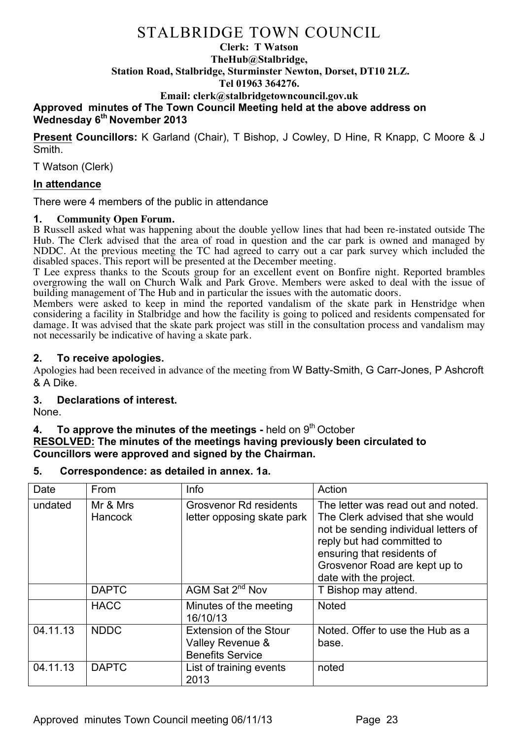### **Clerk: T Watson TheHub@Stalbridge, Station Road, Stalbridge, Sturminster Newton, Dorset, DT10 2LZ. Tel 01963 364276. Email: clerk@stalbridgetowncouncil.gov.uk**

## **Approved minutes of The Town Council Meeting held at the above address on Wednesday 6th November 2013**

**Present Councillors:** K Garland (Chair), T Bishop, J Cowley, D Hine, R Knapp, C Moore & J Smith.

T Watson (Clerk)

## **In attendance**

There were 4 members of the public in attendance

### **1. Community Open Forum.**

B Russell asked what was happening about the double yellow lines that had been re-instated outside The Hub. The Clerk advised that the area of road in question and the car park is owned and managed by NDDC. At the previous meeting the TC had agreed to carry out a car park survey which included the disabled spaces. This report will be presented at the December meeting.

T Lee express thanks to the Scouts group for an excellent event on Bonfire night. Reported brambles overgrowing the wall on Church Walk and Park Grove. Members were asked to deal with the issue of building management of The Hub and in particular the issues with the automatic doors.

Members were asked to keep in mind the reported vandalism of the skate park in Henstridge when considering a facility in Stalbridge and how the facility is going to policed and residents compensated for damage. It was advised that the skate park project was still in the consultation process and vandalism may not necessarily be indicative of having a skate park.

## **2. To receive apologies.**

Apologies had been received in advance of the meeting from W Batty-Smith, G Carr-Jones, P Ashcroft & A Dike.

## **3. Declarations of interest.**

None.

## **4. To approve the minutes of the meetings** - held on 9<sup>th</sup> October

## **RESOLVED: The minutes of the meetings having previously been circulated to Councillors were approved and signed by the Chairman.**

#### **5. Correspondence: as detailed in annex. 1a.**

| Date     | From                       | Info                                                                         | Action                                                                                                                                                                                                                                |
|----------|----------------------------|------------------------------------------------------------------------------|---------------------------------------------------------------------------------------------------------------------------------------------------------------------------------------------------------------------------------------|
| undated  | Mr & Mrs<br><b>Hancock</b> | <b>Grosvenor Rd residents</b><br>letter opposing skate park                  | The letter was read out and noted.<br>The Clerk advised that she would<br>not be sending individual letters of<br>reply but had committed to<br>ensuring that residents of<br>Grosvenor Road are kept up to<br>date with the project. |
|          | <b>DAPTC</b>               | AGM Sat 2 <sup>nd</sup> Nov                                                  | T Bishop may attend.                                                                                                                                                                                                                  |
|          | <b>HACC</b>                | Minutes of the meeting<br>16/10/13                                           | <b>Noted</b>                                                                                                                                                                                                                          |
| 04.11.13 | <b>NDDC</b>                | <b>Extension of the Stour</b><br>Valley Revenue &<br><b>Benefits Service</b> | Noted. Offer to use the Hub as a<br>base.                                                                                                                                                                                             |
| 04.11.13 | <b>DAPTC</b>               | List of training events<br>2013                                              | noted                                                                                                                                                                                                                                 |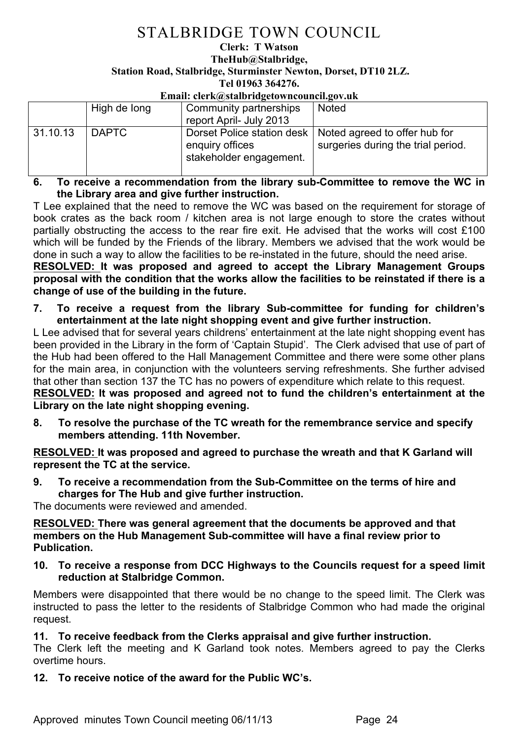#### **Clerk: T Watson TheHub@Stalbridge, Station Road, Stalbridge, Sturminster Newton, Dorset, DT10 2LZ. Tel 01963 364276.**

## **Email: clerk@stalbridgetowncouncil.gov.uk**

|          | High de long | Community partnerships<br>report April- July 2013 | <b>Noted</b>                                                                                     |
|----------|--------------|---------------------------------------------------|--------------------------------------------------------------------------------------------------|
| 31.10.13 | l DAPTC      | enguiry offices<br>stakeholder engagement.        | Dorset Police station desk   Noted agreed to offer hub for<br>surgeries during the trial period. |

**6. To receive a recommendation from the library sub-Committee to remove the WC in the Library area and give further instruction.**

T Lee explained that the need to remove the WC was based on the requirement for storage of book crates as the back room / kitchen area is not large enough to store the crates without partially obstructing the access to the rear fire exit. He advised that the works will cost £100 which will be funded by the Friends of the library. Members we advised that the work would be done in such a way to allow the facilities to be re-instated in the future, should the need arise.

**RESOLVED: It was proposed and agreed to accept the Library Management Groups proposal with the condition that the works allow the facilities to be reinstated if there is a change of use of the building in the future.**

**7. To receive a request from the library Sub-committee for funding for children's entertainment at the late night shopping event and give further instruction.** 

L Lee advised that for several years childrens' entertainment at the late night shopping event has been provided in the Library in the form of 'Captain Stupid'. The Clerk advised that use of part of the Hub had been offered to the Hall Management Committee and there were some other plans for the main area, in conjunction with the volunteers serving refreshments. She further advised that other than section 137 the TC has no powers of expenditure which relate to this request.

**RESOLVED: It was proposed and agreed not to fund the children's entertainment at the Library on the late night shopping evening.**

**8. To resolve the purchase of the TC wreath for the remembrance service and specify members attending. 11th November.**

**RESOLVED: It was proposed and agreed to purchase the wreath and that K Garland will represent the TC at the service.**

**9. To receive a recommendation from the Sub-Committee on the terms of hire and charges for The Hub and give further instruction.**

The documents were reviewed and amended.

**RESOLVED: There was general agreement that the documents be approved and that members on the Hub Management Sub-committee will have a final review prior to Publication.** 

**10. To receive a response from DCC Highways to the Councils request for a speed limit reduction at Stalbridge Common.**

Members were disappointed that there would be no change to the speed limit. The Clerk was instructed to pass the letter to the residents of Stalbridge Common who had made the original request.

## **11. To receive feedback from the Clerks appraisal and give further instruction.**

The Clerk left the meeting and K Garland took notes. Members agreed to pay the Clerks overtime hours.

**12. To receive notice of the award for the Public WC's.**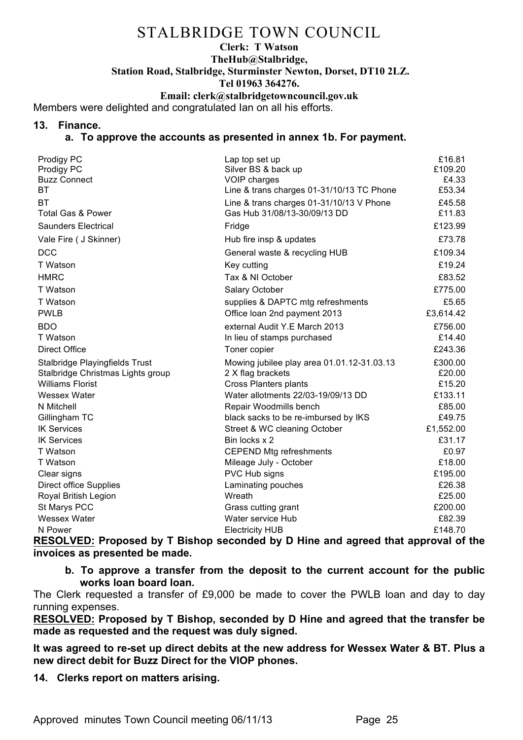#### **Clerk: T Watson TheHub@Stalbridge, Station Road, Stalbridge, Sturminster Newton, Dorset, DT10 2LZ. Tel 01963 364276. Email: clerk@stalbridgetowncouncil.gov.uk**

Members were delighted and congratulated Ian on all his efforts.

### **13. Finance.**

## **a. To approve the accounts as presented in annex 1b. For payment.**

| Prodigy PC<br>Prodigy PC<br><b>Buzz Connect</b><br>BТ               | Lap top set up<br>Silver BS & back up<br>VOIP charges<br>Line & trans charges 01-31/10/13 TC Phone | £16.81<br>£109.20<br>£4.33<br>£53.34 |
|---------------------------------------------------------------------|----------------------------------------------------------------------------------------------------|--------------------------------------|
| ВT<br><b>Total Gas &amp; Power</b>                                  | Line & trans charges 01-31/10/13 V Phone<br>Gas Hub 31/08/13-30/09/13 DD                           | £45.58<br>£11.83                     |
| Saunders Electrical                                                 | Fridge                                                                                             | £123.99                              |
| Vale Fire ( J Skinner)                                              | Hub fire insp & updates                                                                            | £73.78                               |
| <b>DCC</b>                                                          | General waste & recycling HUB                                                                      | £109.34                              |
| T Watson                                                            | Key cutting                                                                                        | £19.24                               |
| <b>HMRC</b>                                                         | Tax & NI October                                                                                   | £83.52                               |
| T Watson                                                            | Salary October                                                                                     | £775.00                              |
| T Watson                                                            | supplies & DAPTC mtg refreshments                                                                  | £5.65                                |
| <b>PWLB</b>                                                         | Office loan 2nd payment 2013                                                                       | £3,614.42                            |
| <b>BDO</b>                                                          | external Audit Y.E March 2013                                                                      | £756.00                              |
| T Watson                                                            | In lieu of stamps purchased                                                                        | £14.40                               |
| <b>Direct Office</b>                                                | Toner copier                                                                                       | £243.36                              |
| Stalbridge Playingfields Trust<br>Stalbridge Christmas Lights group | Mowing jubilee play area 01.01.12-31.03.13<br>2 X flag brackets                                    | £300.00<br>£20.00                    |
| <b>Williams Florist</b>                                             | Cross Planters plants                                                                              | £15.20                               |
| Wessex Water                                                        | Water allotments 22/03-19/09/13 DD                                                                 | £133.11                              |
| N Mitchell                                                          | Repair Woodmills bench                                                                             | £85.00                               |
| Gillingham TC                                                       | black sacks to be re-imbursed by IKS                                                               | £49.75                               |
| <b>IK Services</b>                                                  | Street & WC cleaning October                                                                       | £1,552.00                            |
| <b>IK Services</b>                                                  | Bin locks x 2                                                                                      | £31.17                               |
| T Watson                                                            | <b>CEPEND Mtg refreshments</b>                                                                     | £0.97                                |
| T Watson                                                            | Mileage July - October                                                                             | £18.00                               |
| Clear signs                                                         | PVC Hub signs                                                                                      | £195.00                              |
| Direct office Supplies                                              | Laminating pouches                                                                                 | £26.38                               |
| Royal British Legion                                                | Wreath                                                                                             | £25.00                               |
| St Marys PCC                                                        | Grass cutting grant                                                                                | £200.00                              |
| <b>Wessex Water</b>                                                 | Water service Hub                                                                                  | £82.39                               |
| N Power                                                             | <b>Electricity HUB</b>                                                                             | £148.70                              |

**RESOLVED: Proposed by T Bishop seconded by D Hine and agreed that approval of the invoices as presented be made.**

**b. To approve a transfer from the deposit to the current account for the public works loan board loan.**

The Clerk requested a transfer of £9,000 be made to cover the PWLB loan and day to day running expenses.

**RESOLVED: Proposed by T Bishop, seconded by D Hine and agreed that the transfer be made as requested and the request was duly signed.**

**It was agreed to re-set up direct debits at the new address for Wessex Water & BT. Plus a new direct debit for Buzz Direct for the VIOP phones.** 

**14. Clerks report on matters arising.**